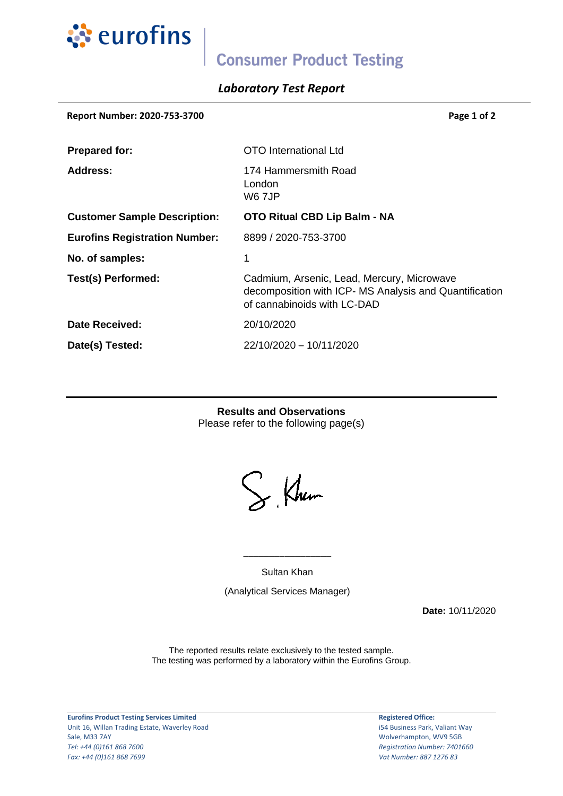

# **Consumer Product Testing**

## *Laboratory Test Report*

| Report Number: 2020-753-3700         | Page 1 of 2                                                                                                                         |
|--------------------------------------|-------------------------------------------------------------------------------------------------------------------------------------|
| <b>Prepared for:</b>                 | OTO International Ltd                                                                                                               |
| Address:                             | 174 Hammersmith Road<br>London<br>W6 7JP                                                                                            |
| <b>Customer Sample Description:</b>  | <b>OTO Ritual CBD Lip Balm - NA</b>                                                                                                 |
| <b>Eurofins Registration Number:</b> | 8899 / 2020-753-3700                                                                                                                |
| No. of samples:                      | 1                                                                                                                                   |
| Test(s) Performed:                   | Cadmium, Arsenic, Lead, Mercury, Microwave<br>decomposition with ICP- MS Analysis and Quantification<br>of cannabinoids with LC-DAD |
| Date Received:                       | 20/10/2020                                                                                                                          |
| Date(s) Tested:                      | 22/10/2020 - 10/11/2020                                                                                                             |

**Results and Observations** Please refer to the following page(s)

S. Khum

Sultan Khan

\_\_\_\_\_\_\_\_\_\_\_\_\_\_\_\_\_

(Analytical Services Manager)

**Date:** 10/11/2020

The reported results relate exclusively to the tested sample. The testing was performed by a laboratory within the Eurofins Group.

**Eurofins Product Testing Services Limited** Unit 16, Willan Trading Estate, Waverley Road Sale, M33 7AY *Tel: +44 (0)161 868 7600 Fax: +44 (0)161 868 7699*

**Registered Office:**

i54 Business Park, Valiant Way Wolverhampton, WV9 5GB *Registration Number: 7401660 Vat Number: 887 1276 83*